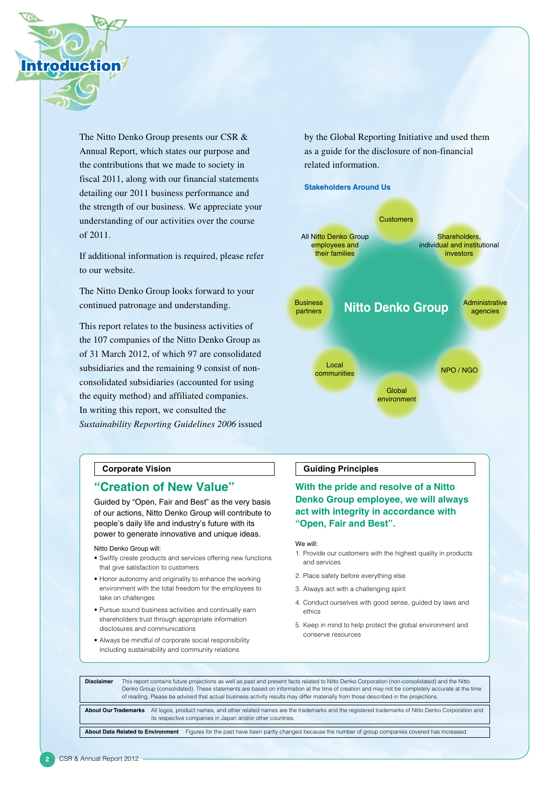

The Nitto Denko Group presents our CSR & Annual Report, which states our purpose and the contributions that we made to society in fiscal 2011, along with our financial statements detailing our 2011 business performance and the strength of our business. We appreciate your understanding of our activities over the course of 2011.

If additional information is required, please refer to our website.

The Nitto Denko Group looks forward to your continued patronage and understanding.

This report relates to the business activities of the 107 companies of the Nitto Denko Group as of 31 March 2012, of which 97 are consolidated subsidiaries and the remaining 9 consist of nonconsolidated subsidiaries (accounted for using the equity method) and affiliated companies. In writing this report, we consulted the *Sustainability Reporting Guidelines 2006* issued by the Global Reporting Initiative and used them as a guide for the disclosure of non-financial related information.



### **Corporate Vision**

## **"Creation of New Value"**

Guided by "Open, Fair and Best" as the very basis of our actions, Nitto Denko Group will contribute to people's daily life and industry's future with its power to generate innovative and unique ideas.

Nitto Denko Group will:

- Swiftly create products and services offering new functions that give satisfaction to customers
- Honor autonomy and originality to enhance the working environment with the total freedom for the employees to take on challenges
- • Pursue sound business activities and continually earn shareholders trust through appropriate information disclosures and communications
- • Always be mindful of corporate social responsibility including sustainability and community relations

### **Guiding Principles**

## **With the pride and resolve of a Nitto Denko Group employee, we will always act with integrity in accordance with "Open, Fair and Best".**

#### We will:

- 1. Provide our customers with the highest quality in products and services
- 2. Place safety before everything else
- 3. Always act with a challenging spirit
- 4. Conduct ourselves with good sense, guided by laws and ethics
- 5. Keep in mind to help protect the global environment and conserve resources

**Disclaimer** This report contains future projections as well as past and present facts related to Nitto Denko Corporation (non-consolidated) and the Nitto Denko Group (consolidated). These statements are based on information at the time of creation and may not be completely accurate at the time of reading. Please be advised that actual business activity results may differ materially from those described in the projections.

**About Our Trademarks** All logos, product names, and other related names are the trademarks and the registered trademarks of Nitto Denko Corporation and its respective companies in Japan and/or other countries.

**About Data Related to Environment** Figures for the past have been partly changed because the number of group companies covered has increased.